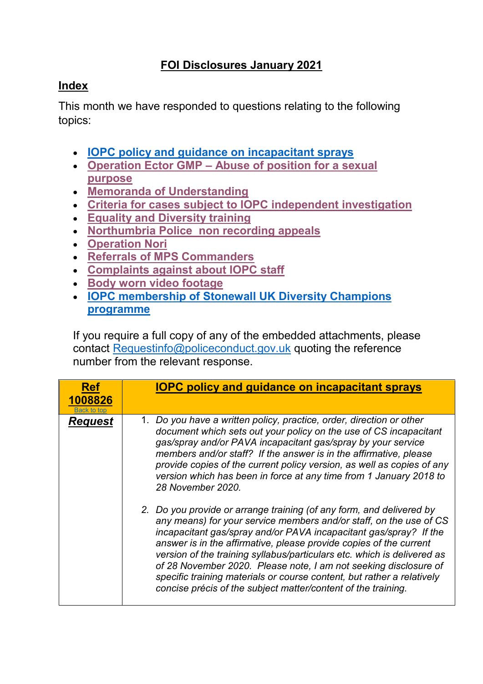## **FOI Disclosures January 2021**

## <span id="page-0-1"></span>**Index**

This month we have responded to questions relating to the following topics:

- **[IOPC policy and guidance](#page-0-0) on incapacitant sprays**
- **[Operation Ector GMP](#page-2-0) – Abuse of position for a sexual [purpose](#page-2-0)**
- **[Memoranda of Understanding](#page-3-0)**
- **Criteria for cases subject [to IOPC independent investigation](#page-3-1)**
- **[Equality and Diversity training](#page-4-0)**
- **[Northumbria Police non recording appeals](#page-5-0)**
- **[Operation Nori](#page-5-1)**
- **[Referrals of MPS Commanders](#page-7-0)**
- **[Complaints against about IOPC staff](#page-7-1)**
- **[Body worn video footage](#page-8-0)**
- **[IOPC membership of Stonewall UK Diversity Champions](#page-9-0)  [programme](#page-9-0)**

If you require a full copy of any of the embedded attachments, please contact [Requestinfo@policeconduct.gov.uk](mailto:Requestinfo@policeconduct.gov.uk) quoting the reference number from the relevant response.

<span id="page-0-0"></span>

| <b>Ref</b><br>1008826 | <b>IOPC policy and guidance on incapacitant sprays</b>                                                                                                                                                                                                                                                                                                                                                                                                                                                                                                                          |
|-----------------------|---------------------------------------------------------------------------------------------------------------------------------------------------------------------------------------------------------------------------------------------------------------------------------------------------------------------------------------------------------------------------------------------------------------------------------------------------------------------------------------------------------------------------------------------------------------------------------|
| <b>Request</b>        | 1. Do you have a written policy, practice, order, direction or other<br>document which sets out your policy on the use of CS incapacitant<br>gas/spray and/or PAVA incapacitant gas/spray by your service<br>members and/or staff? If the answer is in the affirmative, please<br>provide copies of the current policy version, as well as copies of any<br>version which has been in force at any time from 1 January 2018 to<br>28 November 2020.                                                                                                                             |
|                       | 2. Do you provide or arrange training (of any form, and delivered by<br>any means) for your service members and/or staff, on the use of CS<br>incapacitant gas/spray and/or PAVA incapacitant gas/spray? If the<br>answer is in the affirmative, please provide copies of the current<br>version of the training syllabus/particulars etc. which is delivered as<br>of 28 November 2020. Please note, I am not seeking disclosure of<br>specific training materials or course content, but rather a relatively<br>concise précis of the subject matter/content of the training. |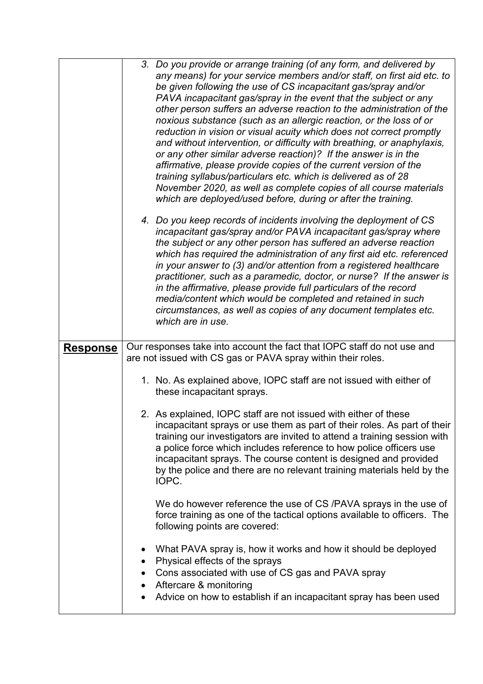|                 | 3. Do you provide or arrange training (of any form, and delivered by<br>any means) for your service members and/or staff, on first aid etc. to<br>be given following the use of CS incapacitant gas/spray and/or<br>PAVA incapacitant gas/spray in the event that the subject or any<br>other person suffers an adverse reaction to the administration of the<br>noxious substance (such as an allergic reaction, or the loss of or<br>reduction in vision or visual acuity which does not correct promptly<br>and without intervention, or difficulty with breathing, or anaphylaxis,<br>or any other similar adverse reaction)? If the answer is in the<br>affirmative, please provide copies of the current version of the<br>training syllabus/particulars etc. which is delivered as of 28<br>November 2020, as well as complete copies of all course materials<br>which are deployed/used before, during or after the training. |
|-----------------|---------------------------------------------------------------------------------------------------------------------------------------------------------------------------------------------------------------------------------------------------------------------------------------------------------------------------------------------------------------------------------------------------------------------------------------------------------------------------------------------------------------------------------------------------------------------------------------------------------------------------------------------------------------------------------------------------------------------------------------------------------------------------------------------------------------------------------------------------------------------------------------------------------------------------------------|
|                 | 4. Do you keep records of incidents involving the deployment of CS<br>incapacitant gas/spray and/or PAVA incapacitant gas/spray where<br>the subject or any other person has suffered an adverse reaction<br>which has required the administration of any first aid etc. referenced<br>in your answer to (3) and/or attention from a registered healthcare<br>practitioner, such as a paramedic, doctor, or nurse? If the answer is<br>in the affirmative, please provide full particulars of the record<br>media/content which would be completed and retained in such<br>circumstances, as well as copies of any document templates etc.<br>which are in use.                                                                                                                                                                                                                                                                       |
| <b>Response</b> | Our responses take into account the fact that IOPC staff do not use and<br>are not issued with CS gas or PAVA spray within their roles.                                                                                                                                                                                                                                                                                                                                                                                                                                                                                                                                                                                                                                                                                                                                                                                               |
|                 | 1. No. As explained above, IOPC staff are not issued with either of<br>these incapacitant sprays.                                                                                                                                                                                                                                                                                                                                                                                                                                                                                                                                                                                                                                                                                                                                                                                                                                     |
|                 | 2. As explained, IOPC staff are not issued with either of these<br>incapacitant sprays or use them as part of their roles. As part of their<br>training our investigators are invited to attend a training session with<br>a police force which includes reference to how police officers use<br>incapacitant sprays. The course content is designed and provided<br>by the police and there are no relevant training materials held by the<br>IOPC.                                                                                                                                                                                                                                                                                                                                                                                                                                                                                  |
|                 | We do however reference the use of CS /PAVA sprays in the use of<br>force training as one of the tactical options available to officers. The<br>following points are covered:                                                                                                                                                                                                                                                                                                                                                                                                                                                                                                                                                                                                                                                                                                                                                         |
|                 | What PAVA spray is, how it works and how it should be deployed<br>Physical effects of the sprays<br>٠                                                                                                                                                                                                                                                                                                                                                                                                                                                                                                                                                                                                                                                                                                                                                                                                                                 |
|                 | Cons associated with use of CS gas and PAVA spray<br>$\bullet$<br>Aftercare & monitoring<br>Advice on how to establish if an incapacitant spray has been used                                                                                                                                                                                                                                                                                                                                                                                                                                                                                                                                                                                                                                                                                                                                                                         |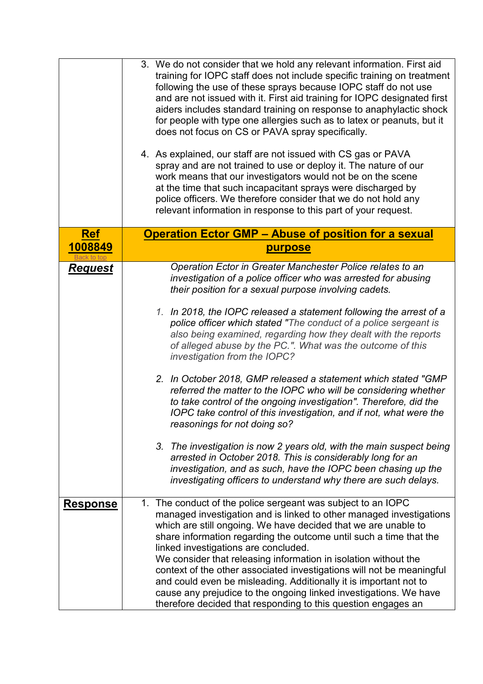<span id="page-2-0"></span>

|                               | 3. We do not consider that we hold any relevant information. First aid<br>training for IOPC staff does not include specific training on treatment<br>following the use of these sprays because IOPC staff do not use<br>and are not issued with it. First aid training for IOPC designated first<br>aiders includes standard training on response to anaphylactic shock<br>for people with type one allergies such as to latex or peanuts, but it<br>does not focus on CS or PAVA spray specifically.<br>4. As explained, our staff are not issued with CS gas or PAVA<br>spray and are not trained to use or deploy it. The nature of our<br>work means that our investigators would not be on the scene<br>at the time that such incapacitant sprays were discharged by<br>police officers. We therefore consider that we do not hold any<br>relevant information in response to this part of your request.                                                                                                                                                                              |
|-------------------------------|--------------------------------------------------------------------------------------------------------------------------------------------------------------------------------------------------------------------------------------------------------------------------------------------------------------------------------------------------------------------------------------------------------------------------------------------------------------------------------------------------------------------------------------------------------------------------------------------------------------------------------------------------------------------------------------------------------------------------------------------------------------------------------------------------------------------------------------------------------------------------------------------------------------------------------------------------------------------------------------------------------------------------------------------------------------------------------------------|
| <u>Ref</u><br><u> 1008849</u> | <b>Operation Ector GMP - Abuse of position for a sexual</b><br><b>purpose</b>                                                                                                                                                                                                                                                                                                                                                                                                                                                                                                                                                                                                                                                                                                                                                                                                                                                                                                                                                                                                              |
| <b>Request</b>                | Operation Ector in Greater Manchester Police relates to an<br>investigation of a police officer who was arrested for abusing<br>their position for a sexual purpose involving cadets.<br>1. In 2018, the IOPC released a statement following the arrest of a<br>police officer which stated "The conduct of a police sergeant is<br>also being examined, regarding how they dealt with the reports<br>of alleged abuse by the PC.". What was the outcome of this<br>investigation from the IOPC?<br>2. In October 2018, GMP released a statement which stated "GMP<br>referred the matter to the IOPC who will be considering whether<br>to take control of the ongoing investigation". Therefore, did the<br>IOPC take control of this investigation, and if not, what were the<br>reasonings for not doing so?<br>3. The investigation is now 2 years old, with the main suspect being<br>arrested in October 2018. This is considerably long for an<br>investigation, and as such, have the IOPC been chasing up the<br>investigating officers to understand why there are such delays. |
| <u>Response</u>               | 1. The conduct of the police sergeant was subject to an IOPC<br>managed investigation and is linked to other managed investigations<br>which are still ongoing. We have decided that we are unable to<br>share information regarding the outcome until such a time that the<br>linked investigations are concluded.<br>We consider that releasing information in isolation without the<br>context of the other associated investigations will not be meaningful<br>and could even be misleading. Additionally it is important not to<br>cause any prejudice to the ongoing linked investigations. We have<br>therefore decided that responding to this question engages an                                                                                                                                                                                                                                                                                                                                                                                                                 |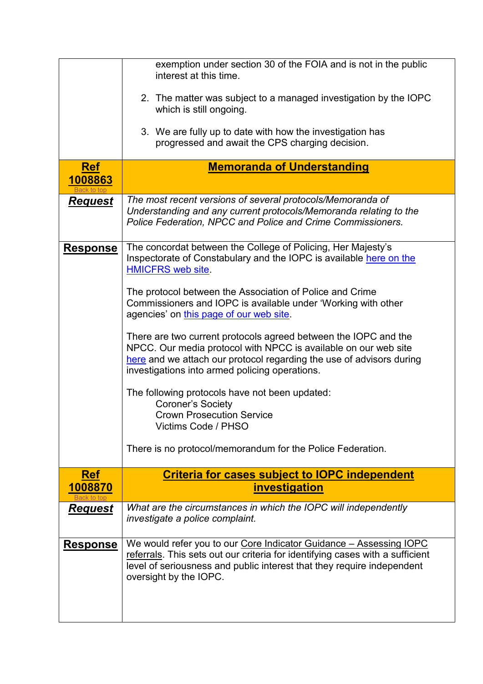<span id="page-3-1"></span><span id="page-3-0"></span>

|                       | exemption under section 30 of the FOIA and is not in the public<br>interest at this time.<br>2. The matter was subject to a managed investigation by the IOPC<br>which is still ongoing.<br>3. We are fully up to date with how the investigation has<br>progressed and await the CPS charging decision. |
|-----------------------|----------------------------------------------------------------------------------------------------------------------------------------------------------------------------------------------------------------------------------------------------------------------------------------------------------|
| <b>Ref</b><br>1008863 | <b>Memoranda of Understanding</b>                                                                                                                                                                                                                                                                        |
| Request               | The most recent versions of several protocols/Memoranda of<br>Understanding and any current protocols/Memoranda relating to the<br>Police Federation, NPCC and Police and Crime Commissioners.                                                                                                           |
| <u>Response</u>       | The concordat between the College of Policing, Her Majesty's<br>Inspectorate of Constabulary and the IOPC is available here on the<br><b>HMICFRS web site.</b>                                                                                                                                           |
|                       | The protocol between the Association of Police and Crime<br>Commissioners and IOPC is available under 'Working with other<br>agencies' on this page of our web site.                                                                                                                                     |
|                       | There are two current protocols agreed between the IOPC and the<br>NPCC. Our media protocol with NPCC is available on our web site<br>here and we attach our protocol regarding the use of advisors during<br>investigations into armed policing operations.                                             |
|                       | The following protocols have not been updated:<br><b>Coroner's Society</b><br><b>Crown Prosecution Service</b><br>Victims Code / PHSO                                                                                                                                                                    |
|                       | There is no protocol/memorandum for the Police Federation.                                                                                                                                                                                                                                               |
| <b>Ref</b><br>1008870 | <b>Criteria for cases subject to IOPC independent</b><br><i><b>investigation</b></i>                                                                                                                                                                                                                     |
| <u>Request</u>        | What are the circumstances in which the IOPC will independently<br>investigate a police complaint.                                                                                                                                                                                                       |
| <u>Response</u>       | We would refer you to our Core Indicator Guidance - Assessing IOPC<br>referrals. This sets out our criteria for identifying cases with a sufficient<br>level of seriousness and public interest that they require independent<br>oversight by the IOPC.                                                  |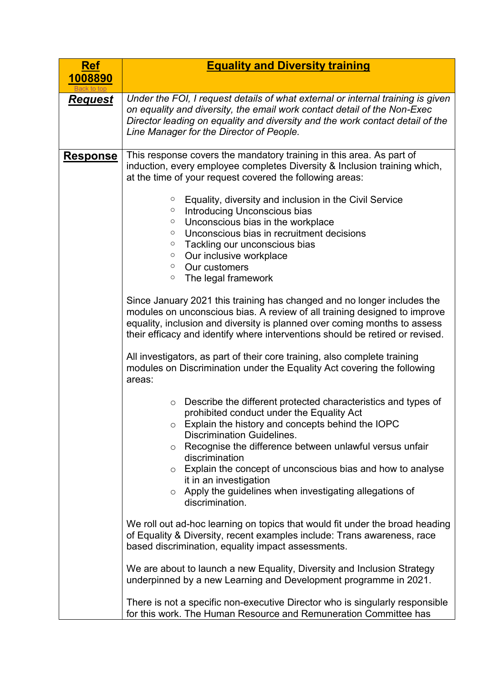<span id="page-4-0"></span>

| <u>Ref</u>      | <b>Equality and Diversity training</b>                                                                                                                                                                                                                                                                                                                                                                                                                                                                                                                                                                                                                                                                                                                                                                                                                                                                                                                                                                                                                                                                                                                                                                                                                                                                                                                                                                                                                                                                                                                                                                                                                                                                                                                                                                                                                                                                                                               |
|-----------------|------------------------------------------------------------------------------------------------------------------------------------------------------------------------------------------------------------------------------------------------------------------------------------------------------------------------------------------------------------------------------------------------------------------------------------------------------------------------------------------------------------------------------------------------------------------------------------------------------------------------------------------------------------------------------------------------------------------------------------------------------------------------------------------------------------------------------------------------------------------------------------------------------------------------------------------------------------------------------------------------------------------------------------------------------------------------------------------------------------------------------------------------------------------------------------------------------------------------------------------------------------------------------------------------------------------------------------------------------------------------------------------------------------------------------------------------------------------------------------------------------------------------------------------------------------------------------------------------------------------------------------------------------------------------------------------------------------------------------------------------------------------------------------------------------------------------------------------------------------------------------------------------------------------------------------------------------|
| 1008890         |                                                                                                                                                                                                                                                                                                                                                                                                                                                                                                                                                                                                                                                                                                                                                                                                                                                                                                                                                                                                                                                                                                                                                                                                                                                                                                                                                                                                                                                                                                                                                                                                                                                                                                                                                                                                                                                                                                                                                      |
| <u>Request</u>  | Under the FOI, I request details of what external or internal training is given<br>on equality and diversity, the email work contact detail of the Non-Exec<br>Director leading on equality and diversity and the work contact detail of the<br>Line Manager for the Director of People.                                                                                                                                                                                                                                                                                                                                                                                                                                                                                                                                                                                                                                                                                                                                                                                                                                                                                                                                                                                                                                                                                                                                                                                                                                                                                                                                                                                                                                                                                                                                                                                                                                                             |
| <b>Response</b> | This response covers the mandatory training in this area. As part of<br>induction, every employee completes Diversity & Inclusion training which,<br>at the time of your request covered the following areas:<br>Equality, diversity and inclusion in the Civil Service<br>$\circ$<br>Introducing Unconscious bias<br>$\circ$<br>Unconscious bias in the workplace<br>$\circ$<br>Unconscious bias in recruitment decisions<br>$\circ$<br>Tackling our unconscious bias<br>$\circ$<br>Our inclusive workplace<br>$\circ$<br>Our customers<br>$\circ$<br>The legal framework<br>$\circ$<br>Since January 2021 this training has changed and no longer includes the<br>modules on unconscious bias. A review of all training designed to improve<br>equality, inclusion and diversity is planned over coming months to assess<br>their efficacy and identify where interventions should be retired or revised.<br>All investigators, as part of their core training, also complete training<br>modules on Discrimination under the Equality Act covering the following<br>areas:<br>Describe the different protected characteristics and types of<br>$\circ$<br>prohibited conduct under the Equality Act<br>Explain the history and concepts behind the IOPC<br>$\circ$<br><b>Discrimination Guidelines.</b><br>Recognise the difference between unlawful versus unfair<br>$\circ$<br>discrimination<br>Explain the concept of unconscious bias and how to analyse<br>$\circ$<br>it in an investigation<br>o Apply the guidelines when investigating allegations of<br>discrimination.<br>We roll out ad-hoc learning on topics that would fit under the broad heading<br>of Equality & Diversity, recent examples include: Trans awareness, race<br>based discrimination, equality impact assessments.<br>We are about to launch a new Equality, Diversity and Inclusion Strategy<br>underpinned by a new Learning and Development programme in 2021. |
|                 | There is not a specific non-executive Director who is singularly responsible<br>for this work. The Human Resource and Remuneration Committee has                                                                                                                                                                                                                                                                                                                                                                                                                                                                                                                                                                                                                                                                                                                                                                                                                                                                                                                                                                                                                                                                                                                                                                                                                                                                                                                                                                                                                                                                                                                                                                                                                                                                                                                                                                                                     |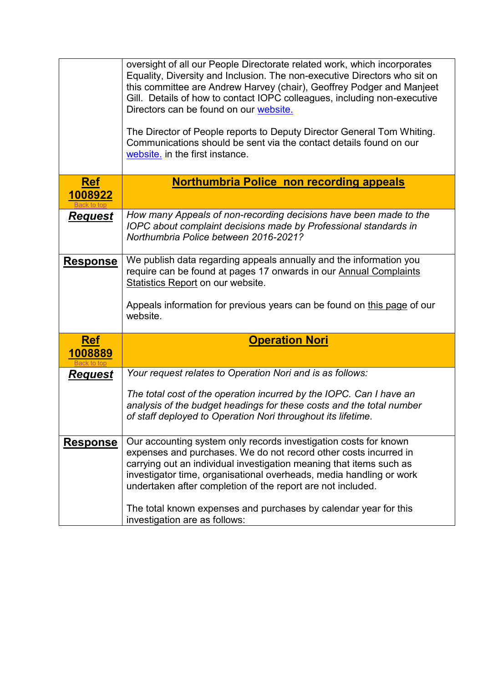<span id="page-5-1"></span><span id="page-5-0"></span>

|                       | oversight of all our People Directorate related work, which incorporates<br>Equality, Diversity and Inclusion. The non-executive Directors who sit on<br>this committee are Andrew Harvey (chair), Geoffrey Podger and Manjeet<br>Gill. Details of how to contact IOPC colleagues, including non-executive<br>Directors can be found on our website.<br>The Director of People reports to Deputy Director General Tom Whiting.<br>Communications should be sent via the contact details found on our<br>website. in the first instance. |
|-----------------------|-----------------------------------------------------------------------------------------------------------------------------------------------------------------------------------------------------------------------------------------------------------------------------------------------------------------------------------------------------------------------------------------------------------------------------------------------------------------------------------------------------------------------------------------|
| <u>Ref</u><br>1008922 | <b>Northumbria Police non recording appeals</b>                                                                                                                                                                                                                                                                                                                                                                                                                                                                                         |
| <u>Request</u>        | How many Appeals of non-recording decisions have been made to the<br>IOPC about complaint decisions made by Professional standards in<br>Northumbria Police between 2016-2021?                                                                                                                                                                                                                                                                                                                                                          |
| <u>Response</u>       | We publish data regarding appeals annually and the information you<br>require can be found at pages 17 onwards in our Annual Complaints<br><b>Statistics Report on our website.</b><br>Appeals information for previous years can be found on this page of our<br>website.                                                                                                                                                                                                                                                              |
| <b>Ref</b><br>1008889 | <b>Operation Nori</b>                                                                                                                                                                                                                                                                                                                                                                                                                                                                                                                   |
| <b>Request</b>        | Your request relates to Operation Nori and is as follows:                                                                                                                                                                                                                                                                                                                                                                                                                                                                               |
|                       | The total cost of the operation incurred by the IOPC. Can I have an<br>analysis of the budget headings for these costs and the total number<br>of staff deployed to Operation Nori throughout its lifetime.                                                                                                                                                                                                                                                                                                                             |
| <b>Response</b>       | Our accounting system only records investigation costs for known<br>expenses and purchases. We do not record other costs incurred in<br>carrying out an individual investigation meaning that items such as<br>investigator time, organisational overheads, media handling or work<br>undertaken after completion of the report are not included.<br>The total known expenses and purchases by calendar year for this<br>investigation are as follows:                                                                                  |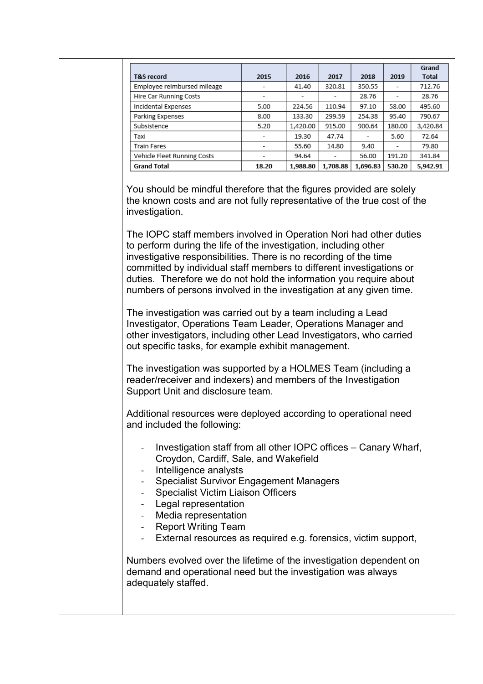| <b>T&amp;S</b> record       | 2015  | 2016     | 2017                     | 2018     | 2019                     | Grand<br><b>Total</b> |
|-----------------------------|-------|----------|--------------------------|----------|--------------------------|-----------------------|
| Employee reimbursed mileage | -     | 41.40    | 320.81                   | 350.55   | -                        | 712.76                |
| Hire Car Running Costs      | -     | ٠        |                          | 28.76    | $\overline{\phantom{a}}$ | 28.76                 |
| Incidental Expenses         | 5.00  | 224.56   | 110.94                   | 97.10    | 58.00                    | 495.60                |
| Parking Expenses            | 8.00  | 133.30   | 299.59                   | 254.38   | 95.40                    | 790.67                |
| Subsistence                 | 5.20  | 1,420.00 | 915.00                   | 900.64   | 180.00                   | 3,420.84              |
| Taxi                        |       | 19.30    | 47.74                    | ۰.       | 5.60                     | 72.64                 |
| <b>Train Fares</b>          |       | 55.60    | 14.80                    | 9.40     | $\overline{\phantom{a}}$ | 79.80                 |
| Vehicle Fleet Running Costs | ۰     | 94.64    | $\overline{\phantom{a}}$ | 56.00    | 191.20                   | 341.84                |
| <b>Grand Total</b>          | 18.20 | 1,988.80 | 1,708.88                 | 1,696.83 | 530.20                   | 5,942.91              |

You should be mindful therefore that the figures provided are solely the known costs and are not fully representative of the true cost of the investigation.

The IOPC staff members involved in Operation Nori had other duties to perform during the life of the investigation, including other investigative responsibilities. There is no recording of the time committed by individual staff members to different investigations or duties. Therefore we do not hold the information you require about numbers of persons involved in the investigation at any given time.

The investigation was carried out by a team including a Lead Investigator, Operations Team Leader, Operations Manager and other investigators, including other Lead Investigators, who carried out specific tasks, for example exhibit management.

The investigation was supported by a HOLMES Team (including a reader/receiver and indexers) and members of the Investigation Support Unit and disclosure team.

Additional resources were deployed according to operational need and included the following:

- Investigation staff from all other IOPC offices Canary Wharf, Croydon, Cardiff, Sale, and Wakefield
- Intelligence analysts
- Specialist Survivor Engagement Managers
- Specialist Victim Liaison Officers
- Legal representation
- Media representation
- Report Writing Team
- External resources as required e.g. forensics, victim support,

Numbers evolved over the lifetime of the investigation dependent on demand and operational need but the investigation was always adequately staffed.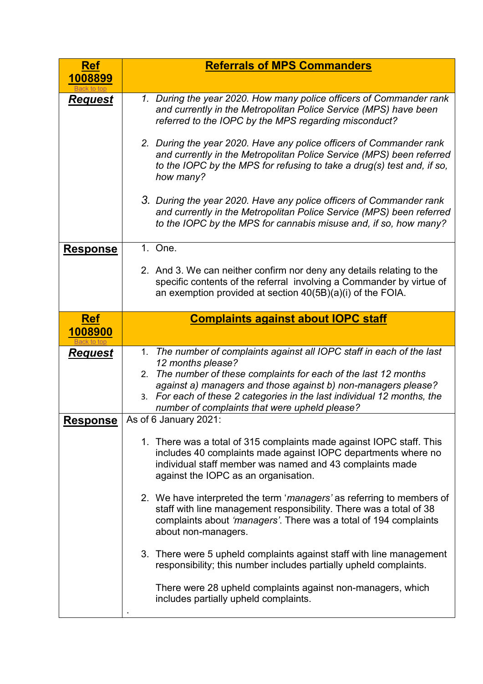<span id="page-7-1"></span><span id="page-7-0"></span>

| <b>Ref</b>                        | <b>Referrals of MPS Commanders</b>                                                                                                                                                                                                                                                                                                                                                                                                                                                                                                                                                               |
|-----------------------------------|--------------------------------------------------------------------------------------------------------------------------------------------------------------------------------------------------------------------------------------------------------------------------------------------------------------------------------------------------------------------------------------------------------------------------------------------------------------------------------------------------------------------------------------------------------------------------------------------------|
| 1008899                           |                                                                                                                                                                                                                                                                                                                                                                                                                                                                                                                                                                                                  |
| <u>Request</u>                    | 1. During the year 2020. How many police officers of Commander rank<br>and currently in the Metropolitan Police Service (MPS) have been<br>referred to the IOPC by the MPS regarding misconduct?                                                                                                                                                                                                                                                                                                                                                                                                 |
|                                   | 2. During the year 2020. Have any police officers of Commander rank<br>and currently in the Metropolitan Police Service (MPS) been referred<br>to the IOPC by the MPS for refusing to take a drug(s) test and, if so,<br>how many?                                                                                                                                                                                                                                                                                                                                                               |
|                                   | 3. During the year 2020. Have any police officers of Commander rank<br>and currently in the Metropolitan Police Service (MPS) been referred<br>to the IOPC by the MPS for cannabis misuse and, if so, how many?                                                                                                                                                                                                                                                                                                                                                                                  |
| <b>Response</b>                   | 1. One.                                                                                                                                                                                                                                                                                                                                                                                                                                                                                                                                                                                          |
|                                   | 2. And 3. We can neither confirm nor deny any details relating to the<br>specific contents of the referral involving a Commander by virtue of<br>an exemption provided at section $40(5B)(a)(i)$ of the FOIA.                                                                                                                                                                                                                                                                                                                                                                                    |
| <b>Ref</b>                        | <b>Complaints against about IOPC staff</b>                                                                                                                                                                                                                                                                                                                                                                                                                                                                                                                                                       |
| 1008900                           |                                                                                                                                                                                                                                                                                                                                                                                                                                                                                                                                                                                                  |
| <u>Request</u><br><b>Response</b> | The number of complaints against all IOPC staff in each of the last<br>1.<br>12 months please?<br>The number of these complaints for each of the last 12 months<br>2.<br>against a) managers and those against b) non-managers please?<br>3. For each of these 2 categories in the last individual 12 months, the<br>number of complaints that were upheld please?<br>As of 6 January 2021:<br>1. There was a total of 315 complaints made against IOPC staff. This<br>includes 40 complaints made against IOPC departments where no<br>individual staff member was named and 43 complaints made |
|                                   | against the IOPC as an organisation.<br>2. We have interpreted the term 'managers' as referring to members of<br>staff with line management responsibility. There was a total of 38<br>complaints about 'managers'. There was a total of 194 complaints<br>about non-managers.<br>3. There were 5 upheld complaints against staff with line management<br>responsibility; this number includes partially upheld complaints.<br>There were 28 upheld complaints against non-managers, which<br>includes partially upheld complaints.                                                              |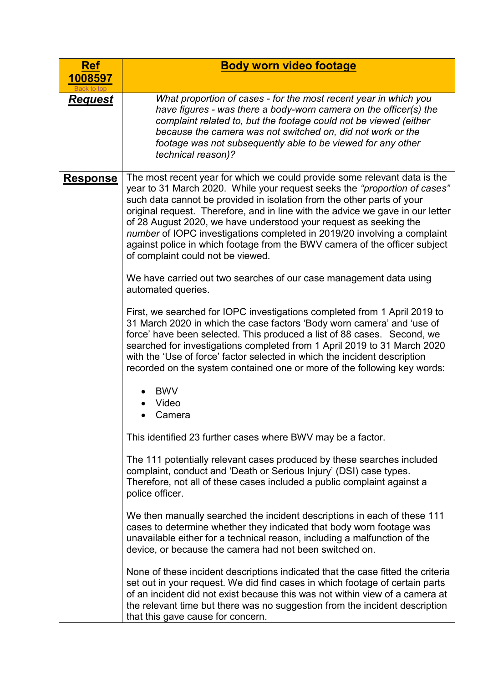<span id="page-8-0"></span>

| <b>Ref</b>      | <b>Body worn video footage</b>                                                                                                                                                                                                                                                                                                                                                                                                                                                                                                                                                         |
|-----------------|----------------------------------------------------------------------------------------------------------------------------------------------------------------------------------------------------------------------------------------------------------------------------------------------------------------------------------------------------------------------------------------------------------------------------------------------------------------------------------------------------------------------------------------------------------------------------------------|
| 1008597         |                                                                                                                                                                                                                                                                                                                                                                                                                                                                                                                                                                                        |
| <u>Request</u>  | What proportion of cases - for the most recent year in which you<br>have figures - was there a body-worn camera on the officer(s) the<br>complaint related to, but the footage could not be viewed (either<br>because the camera was not switched on, did not work or the<br>footage was not subsequently able to be viewed for any other<br>technical reason)?                                                                                                                                                                                                                        |
| <u>Response</u> | The most recent year for which we could provide some relevant data is the<br>year to 31 March 2020. While your request seeks the "proportion of cases"<br>such data cannot be provided in isolation from the other parts of your<br>original request. Therefore, and in line with the advice we gave in our letter<br>of 28 August 2020, we have understood your request as seeking the<br>number of IOPC investigations completed in 2019/20 involving a complaint<br>against police in which footage from the BWV camera of the officer subject<br>of complaint could not be viewed. |
|                 | We have carried out two searches of our case management data using<br>automated queries.                                                                                                                                                                                                                                                                                                                                                                                                                                                                                               |
|                 | First, we searched for IOPC investigations completed from 1 April 2019 to<br>31 March 2020 in which the case factors 'Body worn camera' and 'use of<br>force' have been selected. This produced a list of 88 cases. Second, we<br>searched for investigations completed from 1 April 2019 to 31 March 2020<br>with the 'Use of force' factor selected in which the incident description<br>recorded on the system contained one or more of the following key words:                                                                                                                    |
|                 | <b>BWV</b><br>Video<br>Camera                                                                                                                                                                                                                                                                                                                                                                                                                                                                                                                                                          |
|                 | This identified 23 further cases where BWV may be a factor.                                                                                                                                                                                                                                                                                                                                                                                                                                                                                                                            |
|                 | The 111 potentially relevant cases produced by these searches included<br>complaint, conduct and 'Death or Serious Injury' (DSI) case types.<br>Therefore, not all of these cases included a public complaint against a<br>police officer.                                                                                                                                                                                                                                                                                                                                             |
|                 | We then manually searched the incident descriptions in each of these 111<br>cases to determine whether they indicated that body worn footage was<br>unavailable either for a technical reason, including a malfunction of the<br>device, or because the camera had not been switched on.                                                                                                                                                                                                                                                                                               |
|                 | None of these incident descriptions indicated that the case fitted the criteria<br>set out in your request. We did find cases in which footage of certain parts<br>of an incident did not exist because this was not within view of a camera at<br>the relevant time but there was no suggestion from the incident description<br>that this gave cause for concern.                                                                                                                                                                                                                    |